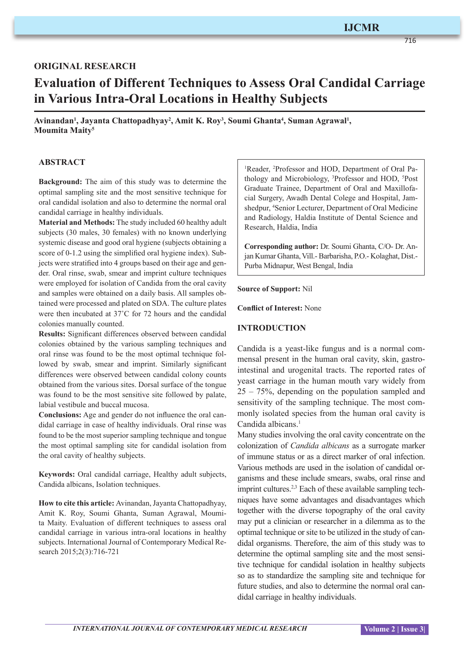# **IJCMR**

716

## **ORIGINAL RESEARCH**

# **Evaluation of Different Techniques to Assess Oral Candidal Carriage in Various Intra-Oral Locations in Healthy Subjects**

Avinandan<sup>1</sup>, Jayanta Chattopadhyay<sup>2</sup>, Amit K. Roy<sup>3</sup>, Soumi Ghanta<sup>4</sup>, Suman Agrawal<sup>1</sup>, **Moumita Maity5**

#### **ABSTRACT**

**Background:** The aim of this study was to determine the optimal sampling site and the most sensitive technique for oral candidal isolation and also to determine the normal oral candidal carriage in healthy individuals.

**Material and Methods:** The study included 60 healthy adult subjects (30 males, 30 females) with no known underlying systemic disease and good oral hygiene (subjects obtaining a score of 0-1.2 using the simplified oral hygiene index). Subjects were stratified into 4 groups based on their age and gender. Oral rinse, swab, smear and imprint culture techniques were employed for isolation of Candida from the oral cavity and samples were obtained on a daily basis. All samples obtained were processed and plated on SDA. The culture plates were then incubated at 37˚C for 72 hours and the candidal colonies manually counted.

**Results:** Significant differences observed between candidal colonies obtained by the various sampling techniques and oral rinse was found to be the most optimal technique followed by swab, smear and imprint. Similarly significant differences were observed between candidal colony counts obtained from the various sites. Dorsal surface of the tongue was found to be the most sensitive site followed by palate, labial vestibule and buccal mucosa.

**Conclusions:** Age and gender do not influence the oral candidal carriage in case of healthy individuals. Oral rinse was found to be the most superior sampling technique and tongue the most optimal sampling site for candidal isolation from the oral cavity of healthy subjects.

**Keywords:** Oral candidal carriage, Healthy adult subjects, Candida albicans, Isolation techniques.

**How to cite this article:** Avinandan, Jayanta Chattopadhyay, Amit K. Roy, Soumi Ghanta, Suman Agrawal, Moumita Maity. Evaluation of different techniques to assess oral candidal carriage in various intra-oral locations in healthy subjects. International Journal of Contemporary Medical Research 2015;2(3):716-721

<sup>1</sup>Reader, <sup>2</sup>Professor and HOD, Department of Oral Pathology and Microbiology, <sup>3</sup>Professor and HOD, <sup>5</sup>Post Graduate Trainee, Department of Oral and Maxillofacial Surgery, Awadh Dental Colege and Hospital, Jamshedpur, <sup>4</sup>Senior Lecturer, Department of Oral Medicine and Radiology, Haldia Institute of Dental Science and Research, Haldia, India

**Corresponding author:** Dr. Soumi Ghanta, C/O- Dr. Anjan Kumar Ghanta, Vill.- Barbarisha, P.O.- Kolaghat, Dist.- Purba Midnapur, West Bengal, India

**Source of Support:** Nil

**Conflict of Interest:** None

#### **INTRODUCTION**

Candida is a yeast-like fungus and is a normal commensal present in the human oral cavity, skin, gastrointestinal and urogenital tracts. The reported rates of yeast carriage in the human mouth vary widely from 25 – 75%, depending on the population sampled and sensitivity of the sampling technique. The most commonly isolated species from the human oral cavity is Candida albicans.<sup>1</sup>

Many studies involving the oral cavity concentrate on the colonization of *Candida albicans* as a surrogate marker of immune status or as a direct marker of oral infection. Various methods are used in the isolation of candidal organisms and these include smears, swabs, oral rinse and imprint cultures.<sup>2,3</sup> Each of these available sampling techniques have some advantages and disadvantages which together with the diverse topography of the oral cavity may put a clinician or researcher in a dilemma as to the optimal technique or site to be utilized in the study of candidal organisms. Therefore, the aim of this study was to determine the optimal sampling site and the most sensitive technique for candidal isolation in healthy subjects so as to standardize the sampling site and technique for future studies, and also to determine the normal oral candidal carriage in healthy individuals.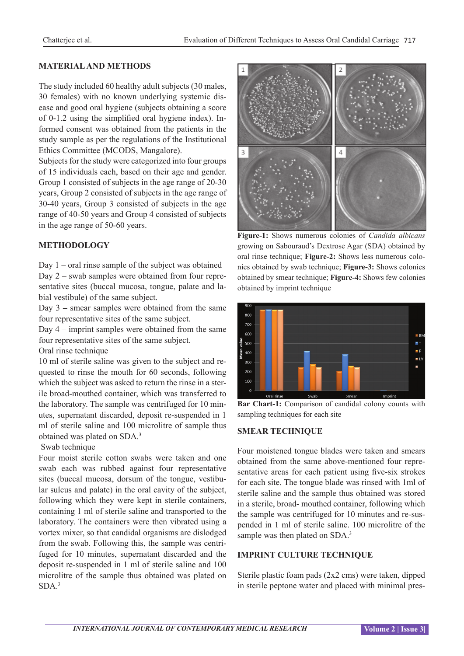# **MATERIAL AND METHODS**

The study included 60 healthy adult subjects (30 males, 30 females) with no known underlying systemic disease and good oral hygiene (subjects obtaining a score of 0-1.2 using the simplified oral hygiene index). Informed consent was obtained from the patients in the study sample as per the regulations of the Institutional Ethics Committee (MCODS, Mangalore).

Subjects for the study were categorized into four groups of 15 individuals each, based on their age and gender. Group 1 consisted of subjects in the age range of 20-30 years, Group 2 consisted of subjects in the age range of 30-40 years, Group 3 consisted of subjects in the age range of 40-50 years and Group 4 consisted of subjects in the age range of 50-60 years.

## **METHODOLOGY**

Day 1 – oral rinse sample of the subject was obtained Day 2 – swab samples were obtained from four representative sites (buccal mucosa, tongue, palate and labial vestibule) of the same subject.

Day 3 **–** smear samples were obtained from the same four representative sites of the same subject.

Day 4 – imprint samples were obtained from the same four representative sites of the same subject.

Oral rinse technique

10 ml of sterile saline was given to the subject and requested to rinse the mouth for 60 seconds, following which the subject was asked to return the rinse in a sterile broad-mouthed container, which was transferred to the laboratory. The sample was centrifuged for 10 minutes, supernatant discarded, deposit re-suspended in 1 ml of sterile saline and 100 microlitre of sample thus obtained was plated on SDA.<sup>3</sup>

#### Swab technique

Four moist sterile cotton swabs were taken and one swab each was rubbed against four representative sites (buccal mucosa, dorsum of the tongue, vestibular sulcus and palate) in the oral cavity of the subject, following which they were kept in sterile containers, containing 1 ml of sterile saline and transported to the laboratory. The containers were then vibrated using a vortex mixer, so that candidal organisms are dislodged from the swab. Following this, the sample was centrifuged for 10 minutes, supernatant discarded and the deposit re-suspended in 1 ml of sterile saline and 100 microlitre of the sample thus obtained was plated on  $SDA<sup>3</sup>$ 



**Figure-1:** Shows numerous colonies of *Candida albicans* growing on Sabouraud's Dextrose Agar (SDA) obtained by oral rinse technique; **Figure-2:** Shows less numerous colonies obtained by swab technique; **Figure-3:** Shows colonies obtained by smear technique; **Figure-4:** Shows few colonies obtained by imprint technique



**Bar Chart-1:** Comparison of candidal colony counts with sampling techniques for each site

#### **SMEAR TECHNIQUE**

Four moistened tongue blades were taken and smears obtained from the same above-mentioned four representative areas for each patient using five-six strokes for each site. The tongue blade was rinsed with 1ml of sterile saline and the sample thus obtained was stored in a sterile, broad- mouthed container, following which the sample was centrifuged for 10 minutes and re-suspended in 1 ml of sterile saline. 100 microlitre of the sample was then plated on SDA.<sup>3</sup>

#### **IMPRINT CULTURE TECHNIQUE**

Sterile plastic foam pads (2x2 cms) were taken, dipped in sterile peptone water and placed with minimal pres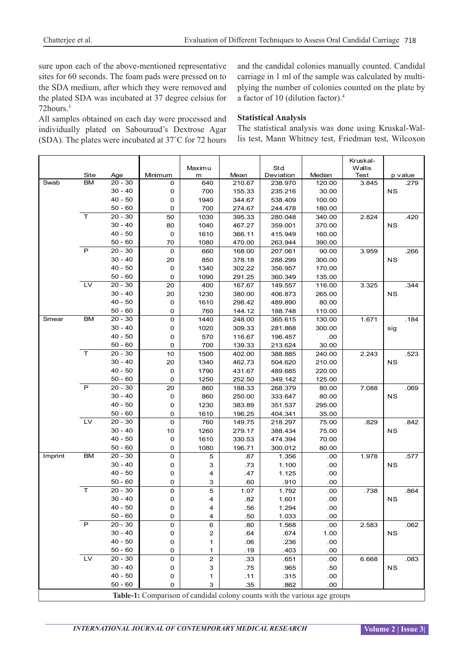sure upon each of the above-mentioned representative sites for 60 seconds. The foam pads were pressed on to the SDA medium, after which they were removed and the plated SDA was incubated at 37 degree celsius for 72hours.3

All samples obtained on each day were processed and individually plated on Sabouraud's Dextrose Agar (SDA). The plates were incubated at 37˚C for 72 hours and the candidal colonies manually counted. Candidal carriage in 1 ml of the sample was calculated by multiplying the number of colonies counted on the plate by a factor of 10 (dilution factor).<sup>4</sup>

#### **Statistical Analysis**

The statistical analysis was done using Kruskal-Wallis test, Mann Whitney test, Friedman test, Wilcoxon

|         |                                                                           |                        |         | Maximu     |        | Std.      |          | Kruskal-<br>Wallis |           |  |
|---------|---------------------------------------------------------------------------|------------------------|---------|------------|--------|-----------|----------|--------------------|-----------|--|
|         | Site                                                                      | Age                    | Minimum | m          | Mean   | Deviation | Median   | Test               | p value   |  |
| Swab    | <b>BM</b>                                                                 | $20 - 30$              | 0       | 640        | 210.67 | 238.970   | 120.00   | 3.845              | .279      |  |
|         |                                                                           | $30 - 40$              | 0       | 700        | 155.33 | 235.216   | 30.00    |                    | <b>NS</b> |  |
|         |                                                                           | $40 - 50$              | 0       | 1940       | 344.67 | 538.409   | 100.00   |                    |           |  |
|         |                                                                           | $50 - 60$              | 0       | 700        | 274.67 | 244.478   | 180.00   |                    |           |  |
|         | $\top$                                                                    | $20 - 30$              | 50      | 1030       | 395.33 | 280.048   | 340.00   | 2.824              | .420      |  |
|         |                                                                           | $30 - 40$              | 80      | 1040       | 467.27 | 359.001   | 370.00   |                    | <b>NS</b> |  |
|         |                                                                           | $40 - 50$              | 0       | 1610       | 366.11 | 415.949   | 160.00   |                    |           |  |
|         |                                                                           | $50 - 60$              | 70      | 1080       | 470.00 | 263.944   | 390.00   |                    |           |  |
|         | P                                                                         | $20 - 30$              | 0       | 660        | 168.00 | 207.061   | 90.00    | 3.959              | .266      |  |
|         |                                                                           | $30 - 40$              | 20      | 850        | 378.18 | 288.299   | 300.00   |                    | NS        |  |
|         |                                                                           | $40 - 50$              | 0       | 1340       | 302.22 | 356.957   | 170.00   |                    |           |  |
|         |                                                                           | $50 - 60$              | 0       | 1090       | 291.25 | 360.349   | 135.00   |                    |           |  |
|         | LV                                                                        | $20 - 30$              | 20      | 400        | 167.67 | 149.557   | 116.00   | 3.325              | .344      |  |
|         |                                                                           | $30 - 40$              | 20      | 1230       | 380.00 | 406.873   | 265.00   |                    | <b>NS</b> |  |
|         |                                                                           | $40 - 50$              | 0       | 1610       | 298.42 | 489.890   | 80.00    |                    |           |  |
|         |                                                                           | $50 - 60$              | 0       | 760        | 144.12 | 188.748   | 110.00   |                    |           |  |
| Smear   | <b>BM</b>                                                                 | $20 - 30$              | 0       | 1440       | 248.00 | 365.615   | 130.00   | 1.671              | .184      |  |
|         |                                                                           | $30 - 40$              | 0       | 1020       | 309.33 | 281.868   | 300.00   |                    | sig       |  |
|         |                                                                           | $40 - 50$              | 0       | 570        | 116.67 | 196.457   | .00      |                    |           |  |
|         |                                                                           | $50 - 60$              | 0       | 700        | 139.33 | 213.624   | 30.00    |                    |           |  |
|         | $\mathsf{T}$                                                              | $20 - 30$              | $10$    | 1500       | 402.00 | 388.885   | 240.00   | 2.243              | .523      |  |
|         |                                                                           | $30 - 40$              | 20      | 1340       | 462.73 | 504.620   | 210.00   |                    | <b>NS</b> |  |
|         |                                                                           | $40 - 50$              | 0       | 1790       | 431.67 | 489.685   | 220.00   |                    |           |  |
|         |                                                                           | $50 - 60$              | 0       | 1250       | 252.50 | 349.142   | 125.00   |                    |           |  |
|         | P                                                                         | $20 - 30$              | 20      | 860        | 188.33 | 268.379   | 80.00    | 7.088              | .069      |  |
|         |                                                                           | $30 - 40$              | 0       | 860        | 250.00 | 333.647   | 80.00    |                    | <b>NS</b> |  |
|         |                                                                           | $40 - 50$              | 0       | 1230       | 383.89 | 351.537   | 295.00   |                    |           |  |
|         |                                                                           | $50 - 60$              | 0       | 1610       | 196.25 | 404.341   | 35.00    |                    |           |  |
|         | L <sub>V</sub>                                                            | $20 - 30$              | 0       | 760        | 149.75 | 218.297   | 75.00    | .829               | .842      |  |
|         |                                                                           | $30 - 40$              | 10      | 1260       | 279.17 | 388.434   | 75.00    |                    | NS        |  |
|         |                                                                           | $40 - 50$              | 0       | 1610       | 330.53 | 474.394   | 70.00    |                    |           |  |
|         |                                                                           | $50 - 60$              | 0       | 1080       | 196.71 | 300.012   | 80.00    |                    |           |  |
| Imprint | <b>BM</b>                                                                 | $20 - 30$              | 0       | $\sqrt{5}$ | .87    | 1.356     | .00      | 1.978              | .577      |  |
|         |                                                                           | $30 - 40$              | 0       | 3          | .73    | 1.100     | .00      |                    | <b>NS</b> |  |
|         |                                                                           | $40 - 50$              | 0       | 4          | .47    | 1.125     | .00      |                    |           |  |
|         |                                                                           | $50 - 60$              | 0       | 3          | .60    | .910      | .00      |                    |           |  |
|         | T                                                                         | $20 - 30$              | 0       | 5          | 1.07   | 1.792     | .00      | .738               | .864      |  |
|         |                                                                           | $30 - 40$              | 0       | 4          | .82    | 1.601     | .00      |                    | <b>NS</b> |  |
|         |                                                                           | $40 - 50$              | 0       | 4          | .56    | 1.294     | .00      |                    |           |  |
|         | $\overline{P}$                                                            | $50 - 60$              | 0       | 4          | .50    | 1.033     | .00      |                    |           |  |
|         |                                                                           | $20 - 30$              | 0       | 6          | .80    | 1.568     | .00      | 2.583              | .062      |  |
|         |                                                                           | $30 - 40$              | 0       | 2          | .64    | .674      | 1.00     |                    | <b>NS</b> |  |
|         |                                                                           | $40 - 50$              | 0       | 1          | .06    | .236      | .00      |                    |           |  |
|         | LV                                                                        | $50 - 60$              | 0       | 1          | .19    | .403      | .00      |                    |           |  |
|         |                                                                           | $20 - 30$<br>$30 - 40$ | 0       | 2          | .33    | .651      | .00      | 6.668              | .083      |  |
|         |                                                                           | $40 - 50$              | 0       | 3          | .75    | .965      | .50      |                    | <b>NS</b> |  |
|         |                                                                           |                        | 0       | 1          | .11    | .315      | $.00 \,$ |                    |           |  |
|         |                                                                           | $50 - 60$              | 0       | 3          | .35    | .862      | .00      |                    |           |  |
|         | Table-1: Comparison of candidal colony counts with the various age groups |                        |         |            |        |           |          |                    |           |  |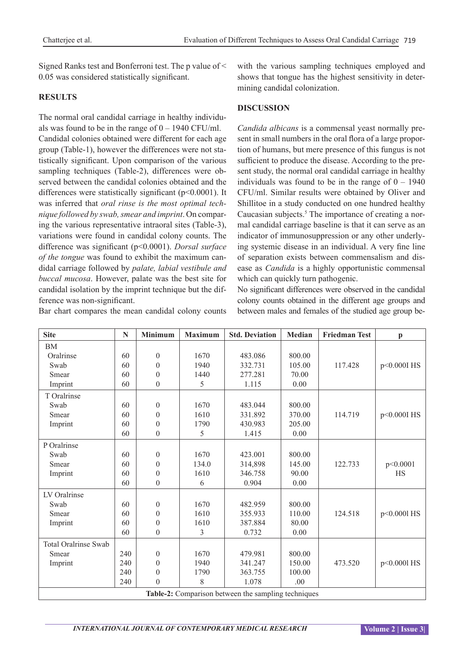Signed Ranks test and Bonferroni test. The p value of < 0.05 was considered statistically significant.

# **RESULTS**

The normal oral candidal carriage in healthy individuals was found to be in the range of  $0 - 1940$  CFU/ml. Candidal colonies obtained were different for each age group (Table-1), however the differences were not statistically significant. Upon comparison of the various sampling techniques (Table-2), differences were observed between the candidal colonies obtained and the differences were statistically significant (p<0.0001). It was inferred that *oral rinse is the most optimal technique followed by swab, smear and imprint*. On comparing the various representative intraoral sites (Table-3), variations were found in candidal colony counts. The difference was significant (p<0.0001). *Dorsal surface of the tongue* was found to exhibit the maximum candidal carriage followed by *palate, labial vestibule and buccal mucosa*. However, palate was the best site for candidal isolation by the imprint technique but the difference was non-significant.

Bar chart compares the mean candidal colony counts

with the various sampling techniques employed and shows that tongue has the highest sensitivity in determining candidal colonization.

# **DISCUSSION**

*Candida albicans* is a commensal yeast normally present in small numbers in the oral flora of a large proportion of humans, but mere presence of this fungus is not sufficient to produce the disease. According to the present study, the normal oral candidal carriage in healthy individuals was found to be in the range of  $0 - 1940$ CFU/ml. Similar results were obtained by Oliver and Shillitoe in a study conducted on one hundred healthy Caucasian subjects.<sup>5</sup> The importance of creating a normal candidal carriage baseline is that it can serve as an indicator of immunosuppression or any other underlying systemic disease in an individual. A very fine line of separation exists between commensalism and disease as *Candida* is a highly opportunistic commensal which can quickly turn pathogenic.

No significant differences were observed in the candidal colony counts obtained in the different age groups and between males and females of the studied age group be-

| <b>Site</b>                                         | N   | <b>Minimum</b>   | <b>Maximum</b> | <b>Std. Deviation</b> | <b>Median</b> | <b>Friedman Test</b> | $\mathbf{p}$ |
|-----------------------------------------------------|-----|------------------|----------------|-----------------------|---------------|----------------------|--------------|
| BM                                                  |     |                  |                |                       |               |                      |              |
| Oralrinse                                           | 60  | $\boldsymbol{0}$ | 1670           | 483.086               | 800.00        |                      |              |
| Swab                                                | 60  | $\theta$         | 1940           | 332.731               | 105.00        | 117.428              | p<0.000I HS  |
| Smear                                               | 60  | $\overline{0}$   | 1440           | 277.281               | 70.00         |                      |              |
| Imprint                                             | 60  | $\boldsymbol{0}$ | 5              | 1.115                 | 0.00          |                      |              |
| T Oralrinse                                         |     |                  |                |                       |               |                      |              |
| Swab                                                | 60  | $\theta$         | 1670           | 483.044               | 800.00        |                      |              |
| Smear                                               | 60  | $\theta$         | 1610           | 331.892               | 370.00        | 114.719              | p<0.000I HS  |
| Imprint                                             | 60  | $\theta$         | 1790           | 430.983               | 205.00        |                      |              |
|                                                     | 60  | $\theta$         | 5              | 1.415                 | 0.00          |                      |              |
| P Oralrinse                                         |     |                  |                |                       |               |                      |              |
| Swab                                                | 60  | $\boldsymbol{0}$ | 1670           | 423.001               | 800.00        |                      |              |
| Smear                                               | 60  | $\theta$         | 134.0          | 314,898               | 145.00        | 122.733              | p<0.0001     |
| Imprint                                             | 60  | $\theta$         | 1610           | 346.758               | 90.00         |                      | <b>HS</b>    |
|                                                     | 60  | $\boldsymbol{0}$ | 6              | 0.904                 | 0.00          |                      |              |
| LV Oralrinse                                        |     |                  |                |                       |               |                      |              |
| Swab                                                | 60  | $\boldsymbol{0}$ | 1670           | 482.959               | 800.00        |                      |              |
| Smear                                               | 60  | $\theta$         | 1610           | 355.933               | 110.00        | 124.518              | p<0.0001 HS  |
| Imprint                                             | 60  | $\boldsymbol{0}$ | 1610           | 387.884               | 80.00         |                      |              |
|                                                     | 60  | $\boldsymbol{0}$ | 3              | 0.732                 | 0.00          |                      |              |
| <b>Total Oralrinse Swab</b>                         |     |                  |                |                       |               |                      |              |
| Smear                                               | 240 | $\boldsymbol{0}$ | 1670           | 479.981               | 800.00        |                      |              |
| Imprint                                             | 240 | $\boldsymbol{0}$ | 1940           | 341.247               | 150.00        | 473.520              | p<0.0001 HS  |
|                                                     | 240 | $\theta$         | 1790           | 363.755               | 100.00        |                      |              |
|                                                     | 240 | $\boldsymbol{0}$ | $8\,$          | 1.078                 | .00           |                      |              |
| Table-2: Comparison between the sampling techniques |     |                  |                |                       |               |                      |              |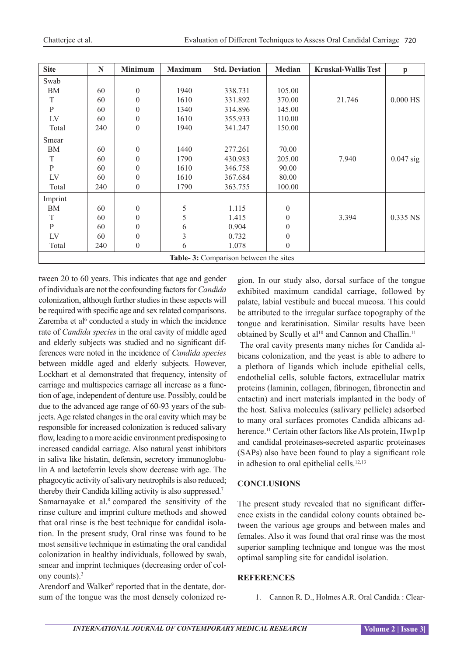| <b>Site</b>                           | N   | <b>Minimum</b> | <b>Maximum</b> | <b>Std. Deviation</b> | Median           | <b>Kruskal-Wallis Test</b> | $\mathbf{p}$ |  |
|---------------------------------------|-----|----------------|----------------|-----------------------|------------------|----------------------------|--------------|--|
| Swab                                  |     |                |                |                       |                  |                            |              |  |
| ΒM                                    | 60  | $\theta$       | 1940           | 338.731               | 105.00           |                            |              |  |
| T                                     | 60  | $\theta$       | 1610           | 331.892               | 370.00           | 21.746                     | $0.000$ HS   |  |
| ${\bf P}$                             | 60  | $\theta$       | 1340           | 314.896               | 145.00           |                            |              |  |
| LV                                    | 60  | $\theta$       | 1610           | 355.933               | 110.00           |                            |              |  |
| Total                                 | 240 | $\theta$       | 1940           | 341.247               | 150.00           |                            |              |  |
| Smear                                 |     |                |                |                       |                  |                            |              |  |
| BM                                    | 60  | $\theta$       | 1440           | 277.261               | 70.00            |                            |              |  |
| T                                     | 60  | $\theta$       | 1790           | 430.983               | 205.00           | 7.940                      | $0.047$ sig  |  |
| $\mathbf{P}$                          | 60  | $\theta$       | 1610           | 346.758               | 90.00            |                            |              |  |
| LV                                    | 60  | $\theta$       | 1610           | 367.684               | 80.00            |                            |              |  |
| Total                                 | 240 | $\overline{0}$ | 1790           | 363.755               | 100.00           |                            |              |  |
| Imprint                               |     |                |                |                       |                  |                            |              |  |
| BM                                    | 60  | $\theta$       | 5              | 1.115                 | $\boldsymbol{0}$ |                            |              |  |
| T                                     | 60  | $\theta$       | 5              | 1.415                 | $\boldsymbol{0}$ | 3.394                      | $0.335$ NS   |  |
| ${\bf P}$                             | 60  | $\Omega$       | 6              | 0.904                 | $\boldsymbol{0}$ |                            |              |  |
| LV                                    | 60  | $\theta$       | $\overline{3}$ | 0.732                 | $\boldsymbol{0}$ |                            |              |  |
| Total                                 | 240 | $\theta$       | 6              | 1.078                 | $\theta$         |                            |              |  |
| Table-3: Comparison between the sites |     |                |                |                       |                  |                            |              |  |

tween 20 to 60 years. This indicates that age and gender of individuals are not the confounding factors for *Candida* colonization, although further studies in these aspects will be required with specific age and sex related comparisons. Zaremba et al<sup> $6$ </sup> conducted a study in which the incidence rate of *Candida species* in the oral cavity of middle aged and elderly subjects was studied and no significant differences were noted in the incidence of *Candida species* between middle aged and elderly subjects. However, Lockhart et al demonstrated that frequency, intensity of carriage and multispecies carriage all increase as a function of age, independent of denture use. Possibly, could be due to the advanced age range of 60-93 years of the subjects. Age related changes in the oral cavity which may be responsible for increased colonization is reduced salivary flow, leading to a more acidic environment predisposing to increased candidal carriage. Also natural yeast inhibitors in saliva like histatin, defensin, secretory immunoglobulin A and lactoferrin levels show decrease with age. The phagocytic activity of salivary neutrophils is also reduced; thereby their Candida killing activity is also suppressed.7 Samarnayake et al. $\delta$  compared the sensitivity of the rinse culture and imprint culture methods and showed that oral rinse is the best technique for candidal isolation. In the present study, Oral rinse was found to be most sensitive technique in estimating the oral candidal colonization in healthy individuals, followed by swab, smear and imprint techniques (decreasing order of colony counts).3

Arendorf and Walker<sup>9</sup> reported that in the dentate, dorsum of the tongue was the most densely colonized region. In our study also, dorsal surface of the tongue exhibited maximum candidal carriage, followed by palate, labial vestibule and buccal mucosa. This could be attributed to the irregular surface topography of the tongue and keratinisation. Similar results have been obtained by Scully et al<sup>10</sup> and Cannon and Chaffin.<sup>11</sup>

 The oral cavity presents many niches for Candida albicans colonization, and the yeast is able to adhere to a plethora of ligands which include epithelial cells, endothelial cells, soluble factors, extracellular matrix proteins (laminin, collagen, fibrinogen, fibronectin and entactin) and inert materials implanted in the body of the host. Saliva molecules (salivary pellicle) adsorbed to many oral surfaces promotes Candida albicans adherence.<sup>11</sup> Certain other factors like Als protein, Hwp1p and candidal proteinases**-**secreted aspartic proteinases (SAPs) also have been found to play a significant role in adhesion to oral epithelial cells. $12,13$ 

# **CONCLUSIONS**

The present study revealed that no significant difference exists in the candidal colony counts obtained between the various age groups and between males and females. Also it was found that oral rinse was the most superior sampling technique and tongue was the most optimal sampling site for candidal isolation.

#### **REFERENCES**

1. Cannon R. D., Holmes A.R. Oral Candida : Clear-